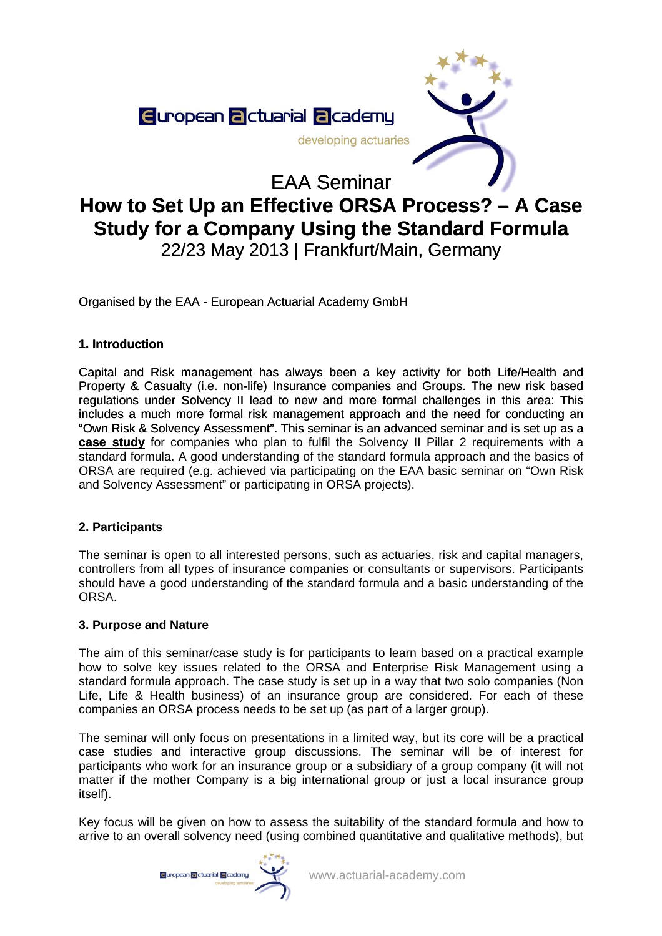

# **How to Set Up an Effective ORSA Process? – A Case Study for a Company Using the Standard Formula**  22/23 May 2013 | Frankfurt/Main, Germany

Organised by the EAA - European Actuarial Academy GmbH

# **1. Introduction**

Capital and Risk management has always been a key activity for both Life/Health and Property & Casualty (i.e. non-life) Insurance companies and Groups. The new risk based regulations under Solvency II lead to new and more formal challenges in this area: This includes a much more formal risk management approach and the need for conducting an "Own Risk & Solvency Assessment". This seminar is an advanced seminar and is set up as a **case study** for companies who plan to fulfil the Solvency II Pillar 2 requirements with a standard formula. A good understanding of the standard formula approach and the basics of ORSA are required (e.g. achieved via participating on the EAA basic seminar on "Own Risk and Solvency Assessment" or participating in ORSA projects).

# **2. Participants**

The seminar is open to all interested persons, such as actuaries, risk and capital managers, controllers from all types of insurance companies or consultants or supervisors. Participants should have a good understanding of the standard formula and a basic understanding of the ORSA.

# **3. Purpose and Nature**

The aim of this seminar/case study is for participants to learn based on a practical example how to solve key issues related to the ORSA and Enterprise Risk Management using a standard formula approach. The case study is set up in a way that two solo companies (Non Life, Life & Health business) of an insurance group are considered. For each of these companies an ORSA process needs to be set up (as part of a larger group).

The seminar will only focus on presentations in a limited way, but its core will be a practical case studies and interactive group discussions. The seminar will be of interest for participants who work for an insurance group or a subsidiary of a group company (it will not matter if the mother Company is a big international group or just a local insurance group itself).

Key focus will be given on how to assess the suitability of the standard formula and how to arrive to an overall solvency need (using combined quantitative and qualitative methods), but

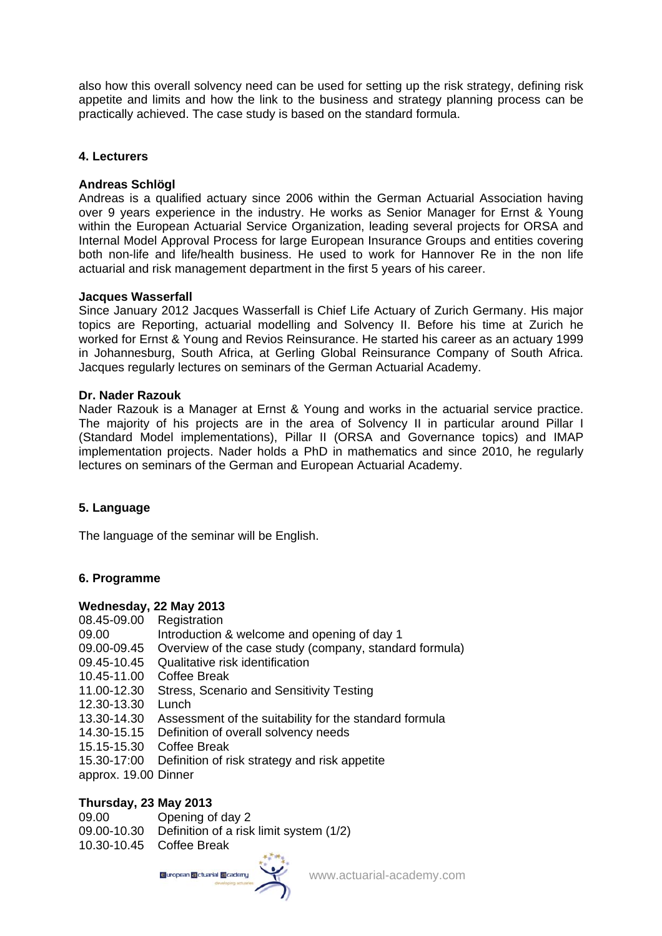also how this overall solvency need can be used for setting up the risk strategy, defining risk appetite and limits and how the link to the business and strategy planning process can be practically achieved. The case study is based on the standard formula.

### **4. Lecturers**

## **Andreas Schlögl**

Andreas is a qualified actuary since 2006 within the German Actuarial Association having over 9 years experience in the industry. He works as Senior Manager for Ernst & Young within the European Actuarial Service Organization, leading several projects for ORSA and Internal Model Approval Process for large European Insurance Groups and entities covering both non-life and life/health business. He used to work for Hannover Re in the non life actuarial and risk management department in the first 5 years of his career.

### **Jacques Wasserfall**

Since January 2012 Jacques Wasserfall is Chief Life Actuary of Zurich Germany. His major topics are Reporting, actuarial modelling and Solvency II. Before his time at Zurich he worked for Ernst & Young and Revios Reinsurance. He started his career as an actuary 1999 in Johannesburg, South Africa, at Gerling Global Reinsurance Company of South Africa. Jacques regularly lectures on seminars of the German Actuarial Academy.

#### **Dr. Nader Razouk**

Nader Razouk is a Manager at Ernst & Young and works in the actuarial service practice. The majority of his projects are in the area of Solvency II in particular around Pillar I (Standard Model implementations), Pillar II (ORSA and Governance topics) and IMAP implementation projects. Nader holds a PhD in mathematics and since 2010, he regularly lectures on seminars of the German and European Actuarial Academy.

### **5. Language**

The language of the seminar will be English.

### **6. Programme**

### **Wednesday, 22 May 2013**

- 08.45-09.00 Registration
- 09.00 Introduction & welcome and opening of day 1
- 09.00-09.45 Overview of the case study (company, standard formula)
- 09.45-10.45 Qualitative risk identification
- 10.45-11.00 Coffee Break
- 11.00-12.30 Stress, Scenario and Sensitivity Testing
- 12.30-13.30 Lunch
- 13.30-14.30 Assessment of the suitability for the standard formula
- 14.30-15.15 Definition of overall solvency needs
- 15.15-15.30 Coffee Break
- 15.30-17:00 Definition of risk strategy and risk appetite
- approx. 19.00 Dinner

### **Thursday, 23 May 2013**

- 09.00 Opening of day 2
- 09.00-10.30 Definition of a risk limit system (1/2)
- 10.30-10.45 Coffee Break

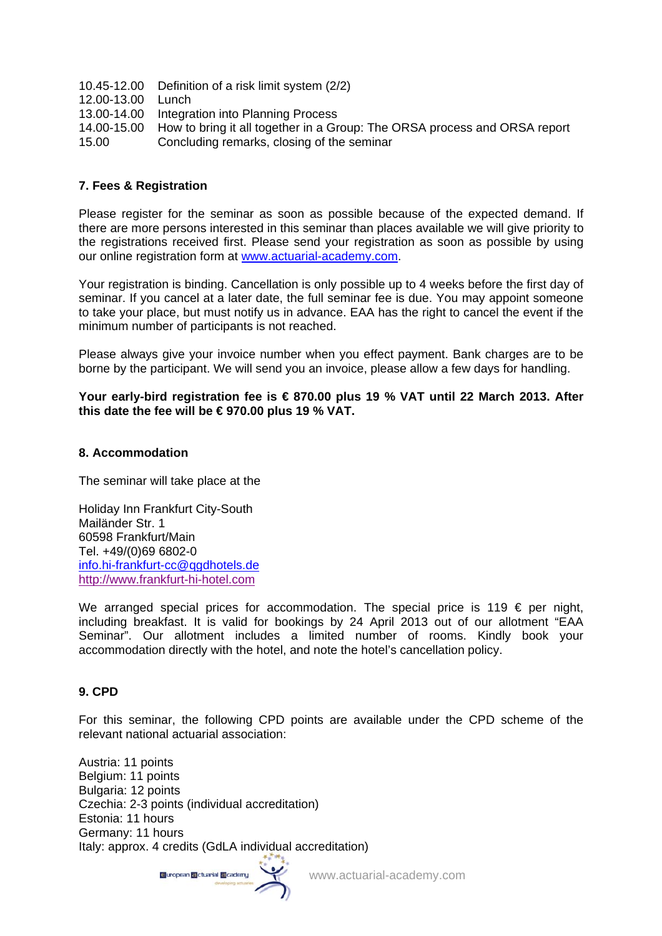- 10.45-12.00 Definition of a risk limit system (2/2)
- 12.00-13.00 Lunch
- 13.00-14.00 Integration into Planning Process
- 14.00-15.00 How to bring it all together in a Group: The ORSA process and ORSA report
- 15.00 Concluding remarks, closing of the seminar

## **7. Fees & Registration**

Please register for the seminar as soon as possible because of the expected demand. If there are more persons interested in this seminar than places available we will give priority to the registrations received first. Please send your registration as soon as possible by using our online registration form at [www.actuarial-academy.com.](http://www.actuarial-academy.com/)

Your registration is binding. Cancellation is only possible up to 4 weeks before the first day of seminar. If you cancel at a later date, the full seminar fee is due. You may appoint someone to take your place, but must notify us in advance. EAA has the right to cancel the event if the minimum number of participants is not reached.

Please always give your invoice number when you effect payment. Bank charges are to be borne by the participant. We will send you an invoice, please allow a few days for handling.

#### **Your early-bird registration fee is € 870.00 plus 19 % VAT until 22 March 2013. After this date the fee will be € 970.00 plus 19 % VAT.**

#### **8. Accommodation**

The seminar will take place at the

Holiday Inn Frankfurt City-South Mailänder Str. 1 60598 Frankfurt/Main Tel. +49/(0)69 6802-0 [info.hi-frankfurt-cc@qgdhotels.de](mailto:info.hi-frankfurt-cc@qgdhotels.de) [http://www.frankfurt-hi-hotel.com](http://www.frankfurt-hi-hotel.com/)

We arranged special prices for accommodation. The special price is 119  $\epsilon$  per night, including breakfast. It is valid for bookings by 24 April 2013 out of our allotment "EAA Seminar". Our allotment includes a limited number of rooms. Kindly book your accommodation directly with the hotel, and note the hotel's cancellation policy.

### **9. CPD**

For this seminar, the following CPD points are available under the CPD scheme of the relevant national actuarial association:

Austria: 11 points Belgium: 11 points Bulgaria: 12 points Czechia: 2-3 points (individual accreditation) Estonia: 11 hours Germany: 11 hours Italy: approx. 4 credits (GdLA individual accreditation)

Guropean **El**ctuarial Elcademy

www.actuarial-academy.com